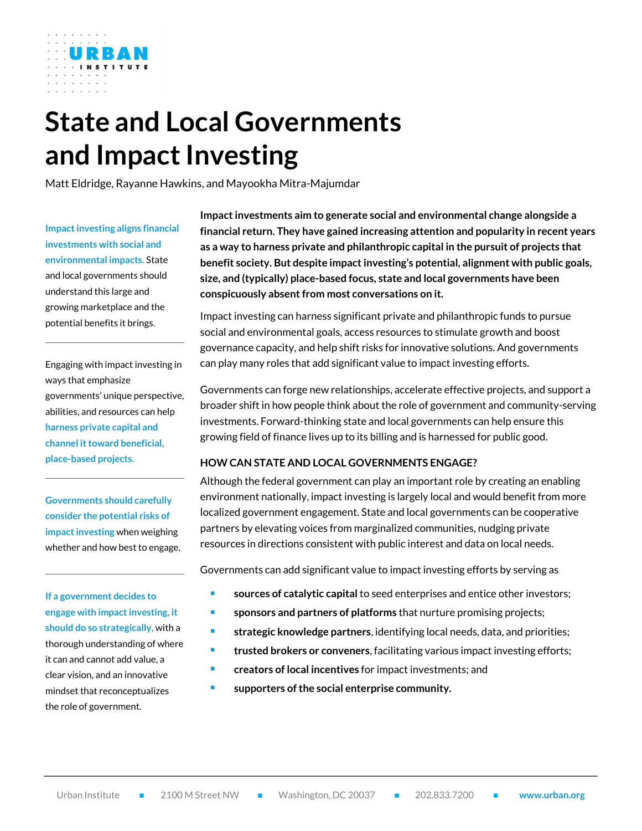# **State and Local Governments and Impact Investing**

Matt Eldridge, Rayanne Hawkins, and Mayookha Mitra-Majumdar

**Impact investing aligns financial investments with social and environmental impacts.** State and local governments should understand this large and growing marketplace and the potential benefits it brings.

Engaging with impact investing in ways that emphasize governments' unique perspective, abilities, and resources can help **harness private capital and channel it toward beneficial, place-based projects.** 

**Governments should carefully consider the potential risks of impact investing** when weighing whether and how best to engage.

**If a government decides to engage with impact investing, it should do so strategically,** with a thorough understanding of where it can and cannot add value, a clear vision, and an innovative mindset that reconceptualizes the role of government.

**Impact investments aim to generate social and environmental change alongside a financial return. They have gained increasing attention and popularity in recent years as a way to harness private and philanthropic capital in the pursuit of projects that benefit society. But despite impact investing's potential, alignment with public goals, size, and (typically) place-based focus, state and local governments have been conspicuously absent from most conversations on it.** 

Impact investing can harness significant private and philanthropic funds to pursue social and environmental goals, access resources to stimulate growth and boost governance capacity, and help shift risks for innovative solutions. And governments can play many roles that add significant value to impact investing efforts.

Governments can forge new relationships, accelerate effective projects, and support a broader shift in how people think about the role of government and community-serving investments. Forward-thinking state and local governments can help ensure this growing field of finance lives up to its billing and is harnessed for public good.

### **HOW CAN STATE AND LOCAL GOVERNMENTS ENGAGE?**

Although the federal government can play an important role by creating an enabling environment nationally, impact investing is largely local and would benefit from more localized government engagement. State and local governments can be cooperative partners by elevating voices from marginalized communities, nudging private resources in directions consistent with public interest and data on local needs.

Governments can add significant value to impact investing efforts by serving as

- **sources of catalytic capital** to seed enterprises and entice other investors;
- **sponsors and partners of platforms** that nurture promising projects;
- **strategic knowledge partners**, identifying local needs, data, and priorities;
- **trusted brokers or conveners**, facilitating various impact investing efforts;
- **creators of local incentives** for impact investments; and
- **supporters of the social enterprise community.**